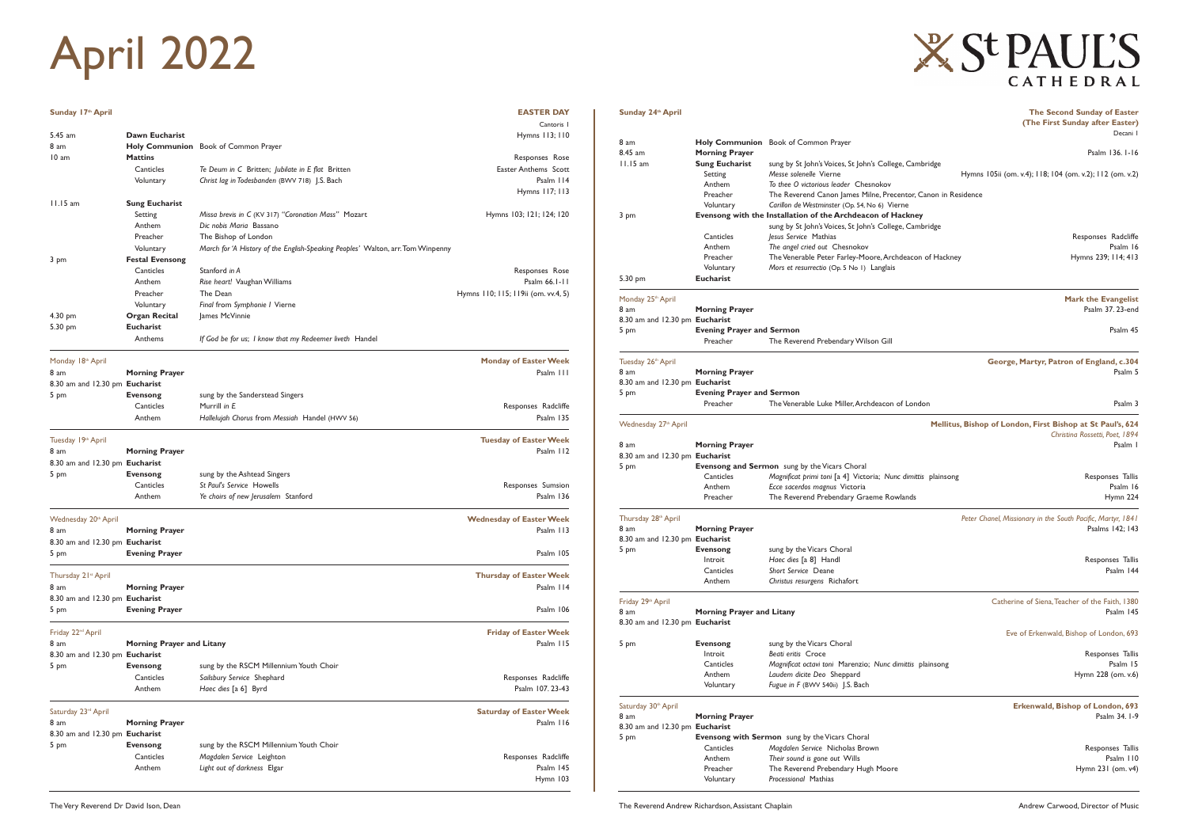| Sunday 17th April              |                                  |                                                                                 | <b>EASTER DAY</b>                           |
|--------------------------------|----------------------------------|---------------------------------------------------------------------------------|---------------------------------------------|
|                                |                                  |                                                                                 | Cantoris I                                  |
| 5.45 am                        | Dawn Eucharist                   |                                                                                 | Hymns 113; 110                              |
| 8 am                           |                                  | <b>Holy Communion</b> Book of Common Prayer                                     |                                             |
| 10 am                          | <b>Mattins</b>                   |                                                                                 | Responses Rose                              |
|                                | Canticles                        | Te Deum in C Britten; Jubilate in E flat Britten                                | Easter Anthems Scott                        |
|                                | Voluntary                        | Christ lag in Todesbanden (BWV 718) J.S. Bach                                   | Psalm 114<br>Hymns 117; 113                 |
| $11.15$ am                     | <b>Sung Eucharist</b>            |                                                                                 |                                             |
|                                | Setting                          | Missa brevis in C (KV 317) "Coronation Mass" Mozart                             | Hymns 103; 121; 124; 120                    |
|                                | Anthem                           | Dic nobis Maria Bassano                                                         |                                             |
|                                | Preacher                         | The Bishop of London                                                            |                                             |
|                                | Voluntary                        | March for 'A History of the English-Speaking Peoples' Walton, arr. Tom Winpenny |                                             |
| 3 pm                           | <b>Festal Evensong</b>           |                                                                                 |                                             |
|                                | Canticles                        | Stanford in A                                                                   | Responses Rose                              |
|                                | Anthem                           | Rise heart! Vaughan Williams                                                    | Psalm 66.1-11                               |
|                                | Preacher                         | The Dean                                                                        | Hymns 110; 115; 119ii (om. vv.4, 5)         |
|                                | Voluntary                        | Final from Symphonie I Vierne                                                   |                                             |
| 4.30 pm                        | <b>Organ Recital</b>             | James McVinnie                                                                  |                                             |
| 5.30 pm                        | <b>Eucharist</b>                 |                                                                                 |                                             |
|                                | Anthems                          | If God be for us; I know that my Redeemer liveth Handel                         |                                             |
| Monday 18th April              |                                  |                                                                                 | <b>Monday of Easter Week</b>                |
| 8 am                           | <b>Morning Prayer</b>            |                                                                                 | Psalm III                                   |
| 8.30 am and 12.30 pm Eucharist |                                  |                                                                                 |                                             |
| 5 pm                           | <b>Evensong</b>                  | sung by the Sanderstead Singers                                                 |                                             |
|                                | Canticles                        | Murrill in E                                                                    | Responses Radcliffe                         |
|                                | Anthem                           | Hallelujah Chorus from Messiah Handel (HWV 56)                                  | Psalm 135                                   |
|                                |                                  |                                                                                 |                                             |
| Tuesday 19th April             |                                  |                                                                                 | <b>Tuesday of Easter Week</b>               |
| 8 am                           | <b>Morning Prayer</b>            |                                                                                 | Psalm 112                                   |
| 8.30 am and 12.30 pm Eucharist |                                  |                                                                                 |                                             |
| 5 pm                           | <b>Evensong</b><br>Canticles     | sung by the Ashtead Singers<br>St Paul's Service Howells                        | Responses Sumsion                           |
|                                | Anthem                           | Ye choirs of new Jerusalem Stanford                                             | Psalm 136                                   |
|                                |                                  |                                                                                 |                                             |
| Wednesday 20th April           |                                  |                                                                                 | <b>Wednesday of Easter Week</b>             |
| 8 am                           | <b>Morning Prayer</b>            |                                                                                 | Psalm 113                                   |
| 8.30 am and 12.30 pm Eucharist |                                  |                                                                                 |                                             |
| 5 pm                           | <b>Evening Prayer</b>            |                                                                                 | Psalm 105                                   |
| Thursday 21st April            |                                  |                                                                                 | <b>Thursday of Easter Week</b>              |
| 8 am                           | <b>Morning Prayer</b>            |                                                                                 | Psalm 114                                   |
| 8.30 am and 12.30 pm Eucharist |                                  |                                                                                 |                                             |
| 5 pm                           | <b>Evening Prayer</b>            |                                                                                 | Psalm 106                                   |
| Friday 22 <sup>nd</sup> April  |                                  |                                                                                 | <b>Friday of Easter Week</b>                |
| 8 am                           | <b>Morning Prayer and Litany</b> |                                                                                 | Psalm 115                                   |
| 8.30 am and 12.30 pm Eucharist |                                  |                                                                                 |                                             |
| 5 pm                           | <b>Evensong</b>                  | sung by the RSCM Millennium Youth Choir                                         |                                             |
|                                | Canticles                        | Sailsbury Service Shephard                                                      | Responses Radcliffe                         |
|                                | Anthem                           | Haec dies [a 6] Byrd                                                            | Psalm 107.23-43                             |
|                                |                                  |                                                                                 |                                             |
| Saturday 23rd April<br>8 am    | <b>Morning Prayer</b>            |                                                                                 | <b>Saturday of Easter Week</b><br>Psalm 116 |
| 8.30 am and 12.30 pm Eucharist |                                  |                                                                                 |                                             |
| 5 pm                           | <b>Evensong</b>                  | sung by the RSCM Millennium Youth Choir                                         |                                             |
|                                |                                  |                                                                                 |                                             |
|                                | Anthem                           |                                                                                 |                                             |
|                                |                                  |                                                                                 | Hymn 103                                    |
|                                | Canticles                        | Magdalen Service Leighton<br>Light out of darkness Elgar                        | Responses Radcliffe<br>Psalm 145            |
|                                |                                  |                                                                                 |                                             |

Preacher The Reverend Canon James Milne, Precentor, Canon in Residence Voluntary *Carillon de Westminster* (Op. 54, No 6) Vierne 3 pm **Evensong with the Installation of the Archdeacon of Hackney**  sung by St John's Voices, St John's College, Cambridge

 Canticles *Jesus Service* Mathias Responses Radcliffe Anthem **The angel cried out Chesnokov Properties Properties Properties Properties Properties Properties** Preacher The Venerable Peter Farley-Moore, Archdeacon of Hackney Hymns 239; 114; 413

Monday 25<sup>th</sup> April **Mark the Evangelist Mark the Evangelist Mark the Evangelist** 8 am **Morning Prayer** Psalm 37. 23-end

5 pm **Evening Prayer and Sermon Evening Prayer and Sermon** 

Tuesday 26<sup>th</sup> April **George, Martyr, Patron of England, c.304 George, Martyr, Patron of England, c.304** 8 am **Morning Prayer Property Property Psalm 5** am **Psalm 5** am **Psalm 5 Psalm 5 Psalm 5** 

Preacher The Venerable Luke Miller, Archdeacon of London Psalm 3

Wednesday 27<sup>th</sup> April **Mellitus, Bishop of London, First Bishop at St Paul's, 624** *Christina Rossetti, Poet, 1894* 8 am **Morning Prayer** Psalm 1

Canticles *Magnificat primi toni* [a 4] Victoria; *Nunc dimittis* plainsong **Responses Tallis** Responses Tallis

Anthem **Ecce sacerdos magnus** Victoria **Communistic Communistic Communistic Communistic Communistic Communistic Communistic Communistic Communistic Communistic Communistic Communistic Communistic Communistic Communistic Co** Preacher The Reverend Prebendary Graeme Rowlands The Rowlands Hymn 224

Thursday 28<sup>th</sup> April *Peter Chanel, Missionary in the South Pacific, Martyr, 1841* 8 am **Morning Prayer 1988** am **Morning Prayer Psalms 142**; 143

> Introit *Haec dies* [a 8] Handl Responses Tallis **Canticles Short Service** Deane **Psalm 144**

Friday  $29<sup>th</sup>$  April Catherine of Siena, Teacher of the Faith, 1380 8 am **Morning Prayer and Litany Properties and Australian Communist Communist Properties and Australian Properties Australian Properties and Australian Properties and Australian Properties and Australian Properties and A** 

**Sunday 24th April The Second Sunday of Easter (The First Sunday after Easter)**  Decani 1

8 am **Holy Communion** Book of Common Prayer

8.45 am **Morning Prayer** Psalm 136. 1-16

Setting *Messe solenelle* Vierne **Hymns 105ii** (om. v.4); 118; 104 (om. v.2); 112 (om. v.2)

 Canticles *Magdalen Service* Nicholas Brown Responses Tallis Anthem *Their sound is gone out Wills* Psalm 110<br>Preacher The Reverend Prebendary Hugh Moore **Preacher** Hymn 231 (om. v4)

11.15 am **Sung Eucharist** sung by St John's Voices, St John's College, Cambridge

Anthem *To thee O victorious leader* Chesnokov

Voluntary *Mors et resurrectio* (Op. 5 No 1) Langlais

Preacher The Reverend Prebendary Wilson Gill

## **X St PAUL'S** CATHEDRAL

5.30 pm **Eucharist**

8.30 am and 12.30 pm **Eucharist**

8.30 am and 12.30 pm **Eucharist**

5 pm **Evening Prayer and Sermon**

8.30 am and 12.30 pm **Eucharist**

5 pm **Evensong and Sermon** sung by the Vicars Choral

8.30 am and 12.30 pm **Eucharist**

5 pm **Evensong** sung by the Vicars Choral

5 pm **Evensong Sung by the Vicars Choral**<br>Introit **Beati** eritis Croce

Anthem *Christus resurgens* Richafort

8.30 am and 12.30 pm **Eucharist** 

Eve of Erkenwald, Bishop of London, 693

 Introit *Beati eritis* Croce Responses Tallis Canticles *Magnificat octavi toni* Marenzio; *Nunc dimittis* plainsong Psalm 15 Anthem *Laudem dicite Deo* Sheppard Hymn 228 (om. v.6)

Voluntary *Fugue in F* (BWV 540ii) J.S. Bach

Preacher The Reverend Prebendary Hugh Moore

Saturday 30th April **Erkenwald, Bishop of London, 693**  8 am **Morning Prayer** Psalm 34. 1-9

8.30 am and 12.30 pm **Eucharist**

5 pm **Evensong with Sermon** sung by the Vicars Choral

Voluntary *Processional* Mathias

## April 2022